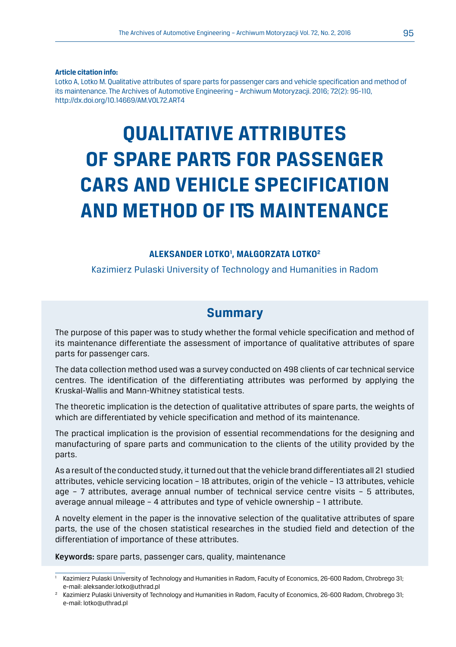#### **Article citation info:**

Lotko A, Lotko M. Qualitative attributes of spare parts for passenger cars and vehicle specification and method of its maintenance. The Archives of Automotive Engineering – Archiwum Motoryzacji. 2016; 72(2): 95-110, http://dx.doi.org/10.14669/AM.VOL72.ART4

# **QUALITATIVE ATTRIBUTES OF SPARE PARTS FOR PASSENGER CARS AND VEHICLE SPECIFICATION AND METHOD OF ITS MAINTENANCE**

#### **ALEKSANDER LOTKO1 , MAŁGORZATA LOTKO2**

Kazimierz Pulaski University of Technology and Humanities in Radom

## **Summary**

The purpose of this paper was to study whether the formal vehicle specification and method of its maintenance differentiate the assessment of importance of qualitative attributes of spare parts for passenger cars.

The data collection method used was a survey conducted on 498 clients of car technical service centres. The identification of the differentiating attributes was performed by applying the Kruskal-Wallis and Mann-Whitney statistical tests.

The theoretic implication is the detection of qualitative attributes of spare parts, the weights of which are differentiated by vehicle specification and method of its maintenance.

The practical implication is the provision of essential recommendations for the designing and manufacturing of spare parts and communication to the clients of the utility provided by the parts.

As a result of the conducted study, it turned out that the vehicle brand differentiates all 21 studied attributes, vehicle servicing location – 18 attributes, origin of the vehicle – 13 attributes, vehicle age – 7 attributes, average annual number of technical service centre visits – 5 attributes, average annual mileage – 4 attributes and type of vehicle ownership – 1 attribute.

A novelty element in the paper is the innovative selection of the qualitative attributes of spare parts, the use of the chosen statistical researches in the studied field and detection of the differentiation of importance of these attributes.

Keywords: spare parts, passenger cars, quality, maintenance

<sup>1</sup> Kazimierz Pulaski University of Technology and Humanities in Radom, Faculty of Economics, 26-600 Radom, Chrobrego 31; e-mail: aleksander.lotko@uthrad.pl

 $^2$  Kazimierz Pulaski University of Technology and Humanities in Radom, Faculty of Economics, 26-600 Radom, Chrobrego 31; e-mail: lotko@uthrad.pl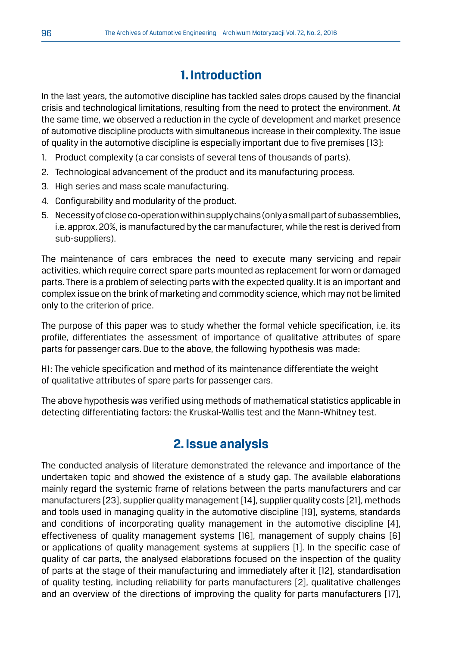## **1. Introduction**

In the last years, the automotive discipline has tackled sales drops caused by the financial crisis and technological limitations, resulting from the need to protect the environment. At the same time, we observed a reduction in the cycle of development and market presence of automotive discipline products with simultaneous increase in their complexity. The issue of quality in the automotive discipline is especially important due to five premises [13]:

- 1. Product complexity (a car consists of several tens of thousands of parts).
- 2. Technological advancement of the product and its manufacturing process.
- 3. High series and mass scale manufacturing.
- 4. Configurability and modularity of the product.
- 5. Necessity of close co-operation within supply chains (only a small part of subassemblies, i.e. approx. 20%, is manufactured by the car manufacturer, while the rest is derived from sub-suppliers).

The maintenance of cars embraces the need to execute many servicing and repair activities, which require correct spare parts mounted as replacement for worn or damaged parts. There is a problem of selecting parts with the expected quality. It is an important and complex issue on the brink of marketing and commodity science, which may not be limited only to the criterion of price.

The purpose of this paper was to study whether the formal vehicle specification, i.e. its profile, differentiates the assessment of importance of qualitative attributes of spare parts for passenger cars. Due to the above, the following hypothesis was made:

H1: The vehicle specification and method of its maintenance differentiate the weight of qualitative attributes of spare parts for passenger cars.

The above hypothesis was verified using methods of mathematical statistics applicable in detecting differentiating factors: the Kruskal-Wallis test and the Mann-Whitney test.

## **2. Issue analysis**

The conducted analysis of literature demonstrated the relevance and importance of the undertaken topic and showed the existence of a study gap. The available elaborations mainly regard the systemic frame of relations between the parts manufacturers and car manufacturers [23], supplier quality management [14], supplier quality costs [21], methods and tools used in managing quality in the automotive discipline [19], systems, standards and conditions of incorporating quality management in the automotive discipline [4], effectiveness of quality management systems [16], management of supply chains [6] or applications of quality management systems at suppliers [1]. In the specific case of quality of car parts, the analysed elaborations focused on the inspection of the quality of parts at the stage of their manufacturing and immediately after it [12], standardisation of quality testing, including reliability for parts manufacturers [2], qualitative challenges and an overview of the directions of improving the quality for parts manufacturers [17],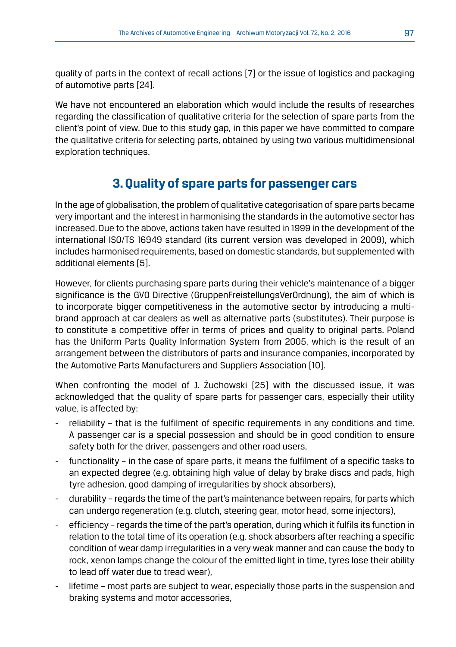quality of parts in the context of recall actions [7] or the issue of logistics and packaging of automotive parts [24].

We have not encountered an elaboration which would include the results of researches regarding the classification of qualitative criteria for the selection of spare parts from the client's point of view. Due to this study gap, in this paper we have committed to compare the qualitative criteria for selecting parts, obtained by using two various multidimensional exploration techniques.

## **3. Quality of spare parts for passenger cars**

In the age of globalisation, the problem of qualitative categorisation of spare parts became very important and the interest in harmonising the standards in the automotive sector has increased. Due to the above, actions taken have resulted in 1999 in the development of the international ISO/TS 16949 standard (its current version was developed in 2009), which includes harmonised requirements, based on domestic standards, but supplemented with additional elements [5].

However, for clients purchasing spare parts during their vehicle's maintenance of a bigger significance is the GVO Directive (GruppenFreistellungsVerOrdnung), the aim of which is to incorporate bigger competitiveness in the automotive sector by introducing a multibrand approach at car dealers as well as alternative parts (substitutes). Their purpose is to constitute a competitive offer in terms of prices and quality to original parts. Poland has the Uniform Parts Quality Information System from 2005, which is the result of an arrangement between the distributors of parts and insurance companies, incorporated by the Automotive Parts Manufacturers and Suppliers Association [10].

When confronting the model of J. Żuchowski [25] with the discussed issue, it was acknowledged that the quality of spare parts for passenger cars, especially their utility value, is affected by:

- reliability that is the fulfilment of specific requirements in any conditions and time. A passenger car is a special possession and should be in good condition to ensure safety both for the driver, passengers and other road users,
- functionality in the case of spare parts, it means the fulfilment of a specific tasks to an expected degree (e.g. obtaining high value of delay by brake discs and pads, high tyre adhesion, good damping of irregularities by shock absorbers),
- durability regards the time of the part's maintenance between repairs, for parts which can undergo regeneration (e.g. clutch, steering gear, motor head, some injectors),
- efficiency regards the time of the part's operation, during which it fulfils its function in relation to the total time of its operation (e.g. shock absorbers after reaching a specific condition of wear damp irregularities in a very weak manner and can cause the body to rock, xenon lamps change the colour of the emitted light in time, tyres lose their ability to lead off water due to tread wear),
- lifetime most parts are subject to wear, especially those parts in the suspension and braking systems and motor accessories,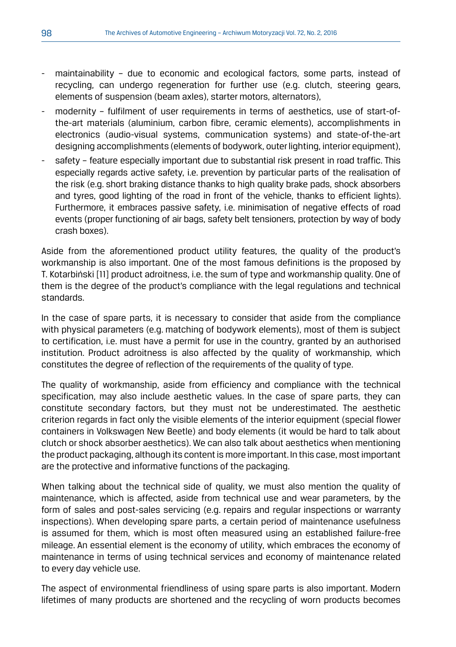- maintainability due to economic and ecological factors, some parts, instead of recycling, can undergo regeneration for further use (e.g. clutch, steering gears, elements of suspension (beam axles), starter motors, alternators),
- modernity fulfilment of user requirements in terms of aesthetics, use of start-ofthe-art materials (aluminium, carbon fibre, ceramic elements), accomplishments in electronics (audio-visual systems, communication systems) and state-of-the-art designing accomplishments (elements of bodywork, outer lighting, interior equipment),
- safety feature especially important due to substantial risk present in road traffic. This especially regards active safety, i.e. prevention by particular parts of the realisation of the risk (e.g. short braking distance thanks to high quality brake pads, shock absorbers and tyres, good lighting of the road in front of the vehicle, thanks to efficient lights). Furthermore, it embraces passive safety, i.e. minimisation of negative effects of road events (proper functioning of air bags, safety belt tensioners, protection by way of body crash boxes).

Aside from the aforementioned product utility features, the quality of the product's workmanship is also important. One of the most famous definitions is the proposed by T. Kotarbiński [11] product adroitness, i.e. the sum of type and workmanship quality. One of them is the degree of the product's compliance with the legal regulations and technical standards.

In the case of spare parts, it is necessary to consider that aside from the compliance with physical parameters (e.g. matching of bodywork elements), most of them is subject to certification, i.e. must have a permit for use in the country, granted by an authorised institution. Product adroitness is also affected by the quality of workmanship, which constitutes the degree of reflection of the requirements of the quality of type.

The quality of workmanship, aside from efficiency and compliance with the technical specification, may also include aesthetic values. In the case of spare parts, they can constitute secondary factors, but they must not be underestimated. The aesthetic criterion regards in fact only the visible elements of the interior equipment (special flower containers in Volkswagen New Beetle) and body elements (it would be hard to talk about clutch or shock absorber aesthetics). We can also talk about aesthetics when mentioning the product packaging, although its content is more important. In this case, most important are the protective and informative functions of the packaging.

When talking about the technical side of quality, we must also mention the quality of maintenance, which is affected, aside from technical use and wear parameters, by the form of sales and post-sales servicing (e.g. repairs and regular inspections or warranty inspections). When developing spare parts, a certain period of maintenance usefulness is assumed for them, which is most often measured using an established failure-free mileage. An essential element is the economy of utility, which embraces the economy of maintenance in terms of using technical services and economy of maintenance related to every day vehicle use.

The aspect of environmental friendliness of using spare parts is also important. Modern lifetimes of many products are shortened and the recycling of worn products becomes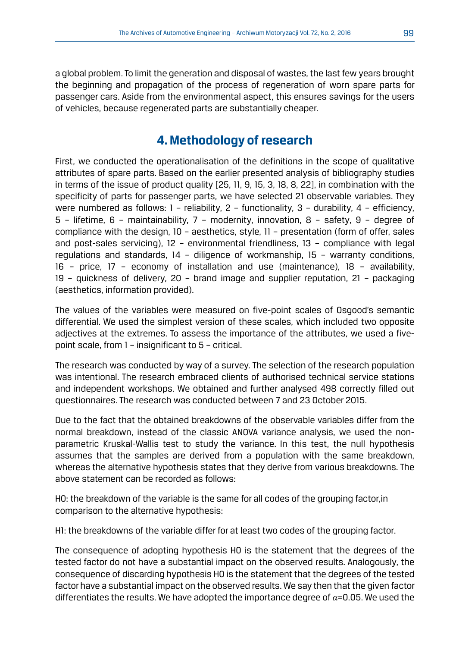a global problem. To limit the generation and disposal of wastes, the last few years brought the beginning and propagation of the process of regeneration of worn spare parts for passenger cars. Aside from the environmental aspect, this ensures savings for the users of vehicles, because regenerated parts are substantially cheaper.

## **4. Methodology of research**

First, we conducted the operationalisation of the definitions in the scope of qualitative attributes of spare parts. Based on the earlier presented analysis of bibliography studies in terms of the issue of product quality [25, 11, 9, 15, 3, 18, 8, 22], in combination with the specificity of parts for passenger parts, we have selected 21 observable variables. They were numbered as follows:  $1$  – reliability,  $2$  – functionality,  $3$  – durability,  $4$  – efficiency, 5 – lifetime, 6 – maintainability, 7 – modernity, innovation, 8 – safety, 9 – degree of compliance with the design, 10 – aesthetics, style, 11 – presentation (form of offer, sales and post-sales servicing), 12 – environmental friendliness, 13 – compliance with legal regulations and standards, 14 – diligence of workmanship, 15 – warranty conditions, 16 – price, 17 – economy of installation and use (maintenance), 18 – availability, 19 – quickness of delivery, 20 – brand image and supplier reputation, 21 – packaging (aesthetics, information provided).

The values of the variables were measured on five-point scales of Osgood's semantic differential. We used the simplest version of these scales, which included two opposite adjectives at the extremes. To assess the importance of the attributes, we used a fivepoint scale, from 1 – insignificant to 5 – critical.

The research was conducted by way of a survey. The selection of the research population was intentional. The research embraced clients of authorised technical service stations and independent workshops. We obtained and further analysed 498 correctly filled out questionnaires. The research was conducted between 7 and 23 October 2015.

Due to the fact that the obtained breakdowns of the observable variables differ from the normal breakdown, instead of the classic ANOVA variance analysis, we used the nonparametric Kruskal-Wallis test to study the variance. In this test, the null hypothesis assumes that the samples are derived from a population with the same breakdown, whereas the alternative hypothesis states that they derive from various breakdowns. The above statement can be recorded as follows:

H0: the breakdown of the variable is the same for all codes of the grouping factor,in comparison to the alternative hypothesis:

H1: the breakdowns of the variable differ for at least two codes of the grouping factor.

The consequence of adopting hypothesis H0 is the statement that the degrees of the tested factor do not have a substantial impact on the observed results. Analogously, the consequence of discarding hypothesis H0 is the statement that the degrees of the tested factor have a substantial impact on the observed results. We say then that the given factor differentiates the results. We have adopted the importance degree of *α*=0.05. We used the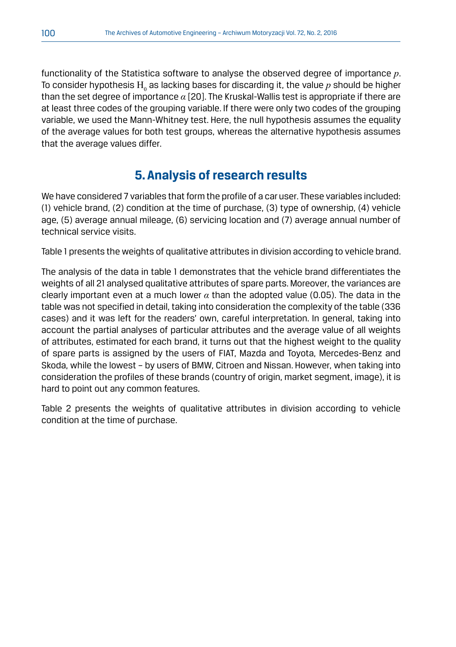functionality of the Statistica software to analyse the observed degree of importance *p*. To consider hypothesis  $\mathrm{H}_{_0}$  as lacking bases for discarding it, the value  $p$  should be higher than the set degree of importance *α* [20]. The Kruskal-Wallis test is appropriate if there are at least three codes of the grouping variable. If there were only two codes of the grouping variable, we used the Mann-Whitney test. Here, the null hypothesis assumes the equality of the average values for both test groups, whereas the alternative hypothesis assumes that the average values differ.

## **5. Analysis of research results**

We have considered 7 variables that form the profile of a car user. These variables included: (1) vehicle brand, (2) condition at the time of purchase, (3) type of ownership, (4) vehicle age, (5) average annual mileage, (6) servicing location and (7) average annual number of technical service visits.

Table 1 presents the weights of qualitative attributes in division according to vehicle brand.

The analysis of the data in table 1 demonstrates that the vehicle brand differentiates the weights of all 21 analysed qualitative attributes of spare parts. Moreover, the variances are clearly important even at a much lower  $\alpha$  than the adopted value (0.05). The data in the table was not specified in detail, taking into consideration the complexity of the table (336 cases) and it was left for the readers' own, careful interpretation. In general, taking into account the partial analyses of particular attributes and the average value of all weights of attributes, estimated for each brand, it turns out that the highest weight to the quality of spare parts is assigned by the users of FIAT, Mazda and Toyota, Mercedes-Benz and Skoda, while the lowest – by users of BMW, Citroen and Nissan. However, when taking into consideration the profiles of these brands (country of origin, market segment, image), it is hard to point out any common features.

Table 2 presents the weights of qualitative attributes in division according to vehicle condition at the time of purchase.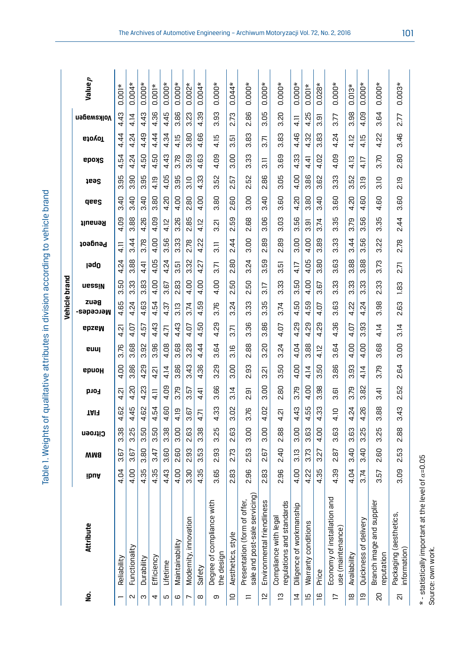| )<br>5<br>2<br>2                                                           |
|----------------------------------------------------------------------------|
|                                                                            |
|                                                                            |
|                                                                            |
|                                                                            |
|                                                                            |
|                                                                            |
|                                                                            |
|                                                                            |
|                                                                            |
|                                                                            |
|                                                                            |
| ייטווים יש עם אנווסטא<br>١                                                 |
|                                                                            |
|                                                                            |
|                                                                            |
|                                                                            |
|                                                                            |
|                                                                            |
|                                                                            |
|                                                                            |
| )<br>:                                                                     |
|                                                                            |
|                                                                            |
|                                                                            |
|                                                                            |
|                                                                            |
|                                                                            |
| :<br>) ) ) )<br>)                                                          |
|                                                                            |
|                                                                            |
|                                                                            |
|                                                                            |
|                                                                            |
|                                                                            |
|                                                                            |
|                                                                            |
|                                                                            |
|                                                                            |
|                                                                            |
|                                                                            |
|                                                                            |
|                                                                            |
|                                                                            |
|                                                                            |
|                                                                            |
| , are of qualitative attributes in division according to vehicle bro-<br>: |
|                                                                            |
|                                                                            |
|                                                                            |
|                                                                            |
|                                                                            |
| ;<br>);<br>);<br>١                                                         |
|                                                                            |
|                                                                            |
|                                                                            |
|                                                                            |
| Table <sub>1</sub>                                                         |
|                                                                            |
|                                                                            |
|                                                                            |
|                                                                            |

|                          |                                                              |                      |            |          |                    |               |                         |                      |          | Vehicle brand        |          |                     |                     |               |                     |                     |                     |                     |                     |              |
|--------------------------|--------------------------------------------------------------|----------------------|------------|----------|--------------------|---------------|-------------------------|----------------------|----------|----------------------|----------|---------------------|---------------------|---------------|---------------------|---------------------|---------------------|---------------------|---------------------|--------------|
| g                        | Attribute                                                    | ibuA                 | <b>BMW</b> | Citroen  | TAIF               | <b>Ford</b>   | epuoµ                   | euul                 | epzem    | zuag<br>метседег-    | uessin   | <b>J</b> əq0        | Peugeot             | Renault       | dees                | <b>Seat</b>         | <b>Skoda</b>        | GjovoT              | Volkswagen          | Valuep       |
|                          | Reliability                                                  | $\overline{a}$<br>4. | 67<br>ო    | 38<br>က  | 8<br>4             | ā<br>4        | 8<br>4.                 | 3.76                 | ಸ<br>4   | 65<br>4              | 50<br>ო  | $\tilde{c}$<br>4    | $\frac{1}{4}$       | 8<br>4.       | 3.40                | 99<br>က             | 54<br>4             | 4<br>4              | ರೆ<br>4.            | $0.001*$     |
| N                        | Functionality                                                | OO.<br>4.            | 67<br>ო    | 25<br>ო  | 45<br>4            | SÓ.<br>4      | 86<br>က                 | 89<br>က              | 4.07     | $\tilde{c}$<br>4     | 33<br>ຕ່ | 88<br>က             | 3.44                | 88<br>ຕ່      | di<br>ო             | ခွ<br>က             | 4.24                | 4.24                | 4.14                | $0.004*$     |
| ო                        | Durability                                                   | 35<br>4              | 80<br>ო    | 50<br>က  | 82<br>4            | 23<br>4.      | 29<br>4                 | 95<br>က              | Ğ<br>4   | 63<br>4              | 83<br>ო  | ₹.<br>4             | 3.78                | 26<br>4.      | $\overline{a}$<br>ო | 95<br>က             | 50<br>4             | 49<br>4.            | අ<br>4.             | $.000*$<br>o |
| 4                        | Efficiency                                                   | 55<br>4              | £<br>ო     | 50<br>က  | 54<br>4            | $\frac{1}{4}$ | ត<br>4                  | 96<br>က              | 4.43     | 54<br>4              | S<br>4   | 4.05                | S<br>4.             | 4.09          | 80<br>က             | 4.19                | 5Ō<br>4             | $\frac{4}{4}$<br>4  | 4.36                | $001*$<br>O  |
| Б                        | Lifetime                                                     | $\frac{3}{4}$<br>4.  | GO<br>ო    | 38<br>က  | 80<br>4            | 4.09          | 4.14                    | 4.08                 | 4.71     | 4.37                 | G<br>ო   | $\mathcal{L}$<br>4. | 56<br>ო             | 4.12          | 4.20                | 4.05                | GÞ<br>4.            | $\mathfrak{B}$<br>4 | 45<br>4             | $0.000*$     |
| $\mathbf \omega$         | Maintainability                                              | 8                    | 8<br>۲Ö    | OO.<br>ო | 4.19               | 3.79          | 86<br>က                 | 68<br>ო              | 4.43     | 3.13                 | œ.<br>۲ù | ίņ<br>ო             | 33<br>ຕ             | 26<br>ຕ       | S<br>4              | 99<br>က             | 3.78                | 4.15                | 86<br>ო             | $.000*$<br>ö |
|                          | Modernity, innovation                                        | 90<br>ო              | සි<br>Νi   | යි<br>Νi | G<br>က             | r.<br>က       | 43<br>က                 | 28<br>က              | 4.07     | 3.74                 | S<br>4.  | 3.32                | 2.78                | 85<br>Νi      | 8<br>Νi             | 3.10                | 59<br>က             | 8<br>ო              | 23<br>က             | $002*$<br>ö  |
| ${}^{\circ}$             | Safety                                                       | ഥ<br>ო<br>4          | 53<br>ო    | 38<br>ო  | Б,<br>4            | ₹<br>4        | 86<br>4                 | $\overline{4}$<br>4  | 50<br>4  | 59<br>4              | S<br>4   | 21<br>4             | S,<br>4.            | 4.12          | 8<br>4              | <u>က</u><br>4.      | C <sub>3</sub><br>4 | 89<br>4             | 39<br>4             | $004*$<br>o  |
| თ                        | Degree of compliance with<br>the design                      | 65<br>က              | සි<br>N    | 55<br>က  | සි<br>4            | 66<br>က       | 8g<br>က                 | $\overline{5}$<br>က  | δò<br>4. | 3.76                 | 8<br>4.  | 3.71                | $\overline{3}$      | ನ<br>က        | 80<br>ო             | S <sub>2</sub><br>က | 4.09                | 4.15                | SS.<br>က            | $000*$<br>ö  |
| $\supseteq$              | Aesthetics, style                                            | 83<br>И              | 2.73       | 63<br>۵i | 8<br>ຕ             | 3.14          | 8<br>ო                  | 3.16                 | 3.71     | 24<br>ო              | 50<br>N  | 8<br>۲Ö             | 244                 | ത<br>rö<br>ΩÓ | 8<br>N              | 55<br>2             | 8<br>ო              | 15<br>ω             | 2.73                | $044*$<br>ö  |
| $=$                      | sale and post-sale servicing<br>Presentation (form of offer, | 96<br>۵i             | 53<br>N    | 3.00     | 3.76               | ᡖ<br>N        | GS<br>$\mathbf{\Omega}$ | 88<br>N              | 36<br>ო  | 33<br>ო              | 50<br>N  | 24<br>က             | SO<br>ო             | 89<br>۵i      | 8<br>ო              | 5S<br>ςi            | 33<br>ო             | 83<br>ო             | 86<br>N             | $.000*$<br>o |
| $\overline{2}$           | Environmental friendliness                                   | සි<br>۸i             | 67<br>N    | 8<br>က   | S<br>4             | S<br>က        | ត<br>က                  | $\overline{c}$<br>ຕ່ | 88<br>ო  | 55<br>ო              | ₽<br>ຕ່  | 59<br>ო             | 89<br>N             | 8<br>က        | $\overline{4}$<br>ო | 88<br>$\sim$        | $\overline{3}$      | $\overline{2}$<br>က | 80<br>က             | $000*$<br>ö  |
| ഇ                        | egulations and standards<br>Compliance with legal            | 96<br>۸i             | d.<br>۲Ö   | 88<br>۲Ö | ត<br>4             | 8<br>N        | 50<br>ო                 | $\overline{24}$<br>ო | βÖ<br>4  | k.<br>ຕ່             | 33<br>ო  | صأ<br>ო             | 89<br>N             | g<br>ຕ        | o<br>ω<br>ო         | 8<br>ო              | 69<br>ო             | 83<br>ო             | 20<br>ო             | $.000*$<br>ö |
| $\overline{4}$           | Diligence of workmanship                                     | S<br>4.              | 3.13       | 3.00     | 43<br>4            | 3.79          | 8<br>4.                 | $\overline{0}$<br>4  | βŠ<br>4  | 50<br>4              | 50<br>ო  | 4.17                | 8<br>ო              | 56<br>က       | S<br>4              | 8<br>4              | 33<br>4             | 46<br>4             | $\frac{1}{4}$       | $000*$<br>O  |
| āί                       | Warranty conditions                                          | S2<br>4              | 3.73       | C3<br>ო  | 55<br>4.           | 4.00          | 4.14                    | 88<br>ო              | 4.29     | 59<br>4              | S<br>4   | 4.05                | 4.00                | ்<br>ო        | 8<br>ო              | 8<br>ო              | ਚ੍<br>4             | ಜ<br>4.             | ro<br>$\frac{2}{3}$ | $.001*$<br>ö |
| $\overline{6}$           | Price                                                        | 35<br>4.             | ĽĞ<br>ო    | S<br>4.  | 33<br>4            | 98<br>က       | 50<br>ო                 | 4.12                 | δó<br>4  | S<br>4               | 67<br>ო  | œ.<br>ო             | 89<br>ო             | 3.74          | di<br>ო             | 8<br>က              | 4.02                | 83<br>ო             | بم<br>ო             | $.028*$<br>ö |
| $\overline{\phantom{0}}$ | 므<br>Economy of installation ar<br>use (maintenance)         | 6G<br>4              | 5<br>N     | G3<br>ო  | 4.10               | فة<br>က       | 86<br>က                 | 64<br>ო              | 36<br>4  | εs<br>ო              | 33<br>ო  | 63<br>က             | 33<br>ო             | 55<br>က       | 60<br>ო             | 33<br>က             | 4.09                | 24<br>4             | 3.77                | $.000*$<br>ö |
| $\overline{8}$           | Availability                                                 | O<br>4               | ੩<br>က     | 63<br>က  | $\mathcal{Z}$<br>4 | 3.79          | සි<br>က                 | S<br>4.              | ā<br>4   | 22<br>4              | ွာ<br>ო  | 88<br>က             | $\overline{4}$<br>ო | 3.79          | S<br>4              | 52<br>က             | 4.13                | 4.12                | œ<br>σņ<br>က        | $013*$<br>o  |
| ഇ                        | Quickness of delivery                                        | 3.74                 | ੩<br>က     | 25<br>ო  | 26<br>4            | 82<br>က       | 4.14                    | 4.00                 | SS<br>ო  | $\overline{24}$<br>4 | 33<br>ო  | 88<br>က             | 56<br>ო             | 56<br>က       | GO<br>4             | 3.19                | 4.17                | 4.15                | 4.09                | $000*$<br>ö  |
| $\overline{c}$           | Branch image and supplier<br>eputation                       | <u>rg</u><br>m       | 8<br>N     | 55<br>က  | 88<br>ო            | ₹<br>က        | 52<br>က                 | 89<br>က              | 4.14     | 8<br>ო               | ೫<br>N   | Ľ3<br>က             | 22<br>ო             | 35<br>က       | 80<br>4             | ₽<br>က              | 3.70                | 22<br>4             | 64<br>က             | $.000*$<br>ö |
| $\overline{\mathcal{N}}$ | Packaging (aesthetics,<br>information)                       | eo<br>ო              | 53<br>N    | 88<br>۲Ö | 43<br>ω            | 52<br>N       | 64<br>۸i                | SÖ<br>ო              | 3.14     | ო<br>ω<br>N          | 1.83     | 2.71                | 2.78                | 2.44          | O<br>ω<br>ო         | 219                 | 80<br>N             | 46<br>ო             | 2.77                | $.003*$<br>ö |
|                          |                                                              |                      |            |          |                    |               |                         |                      |          |                      |          |                     |                     |               |                     |                     |                     |                     |                     |              |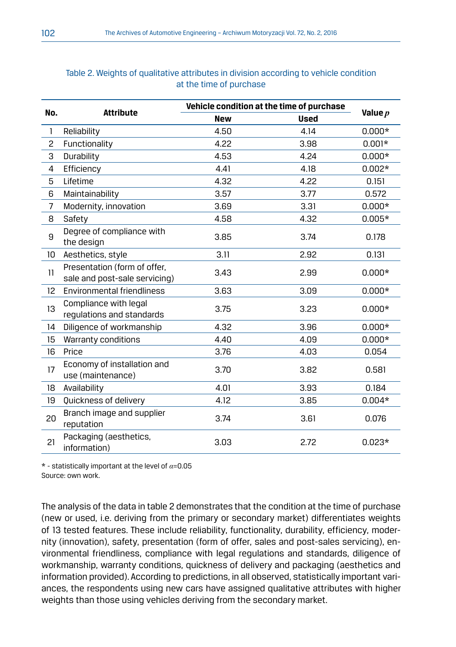|                 |                                                               | Vehicle condition at the time of purchase |             |           |
|-----------------|---------------------------------------------------------------|-------------------------------------------|-------------|-----------|
| No.             | <b>Attribute</b>                                              | <b>New</b>                                | <b>Used</b> | Value $p$ |
| $\mathbf{1}$    | Reliability                                                   | 4.50                                      | 4.14        | $0.000*$  |
| $\overline{c}$  | Functionality                                                 | 4.22                                      | 3.98        | $0.001*$  |
| 3               | Durability                                                    | 4.53                                      | 4.24        | $0.000*$  |
| 4               | Efficiency                                                    | 4.41                                      | 4.18        | $0.002*$  |
| 5               | Lifetime                                                      | 4.32                                      | 4.22        | 0.151     |
| 6               | Maintainability                                               | 3.57                                      | 3.77        | 0.572     |
| $\overline{7}$  | Modernity, innovation                                         | 3.69                                      | 3.31        | $0.000*$  |
| 8               | Safety                                                        | 4.58                                      | 4.32        | $0.005*$  |
| 9               | Degree of compliance with<br>the design                       | 3.85                                      | 3.74        | 0.178     |
| 10 <sup>°</sup> | Aesthetics, style                                             | 3.11                                      | 2.92        | 0.131     |
| 11              | Presentation (form of offer,<br>sale and post-sale servicing) | 3.43                                      | 2.99        | $0.000*$  |
| 12              | Environmental friendliness                                    | 3.63                                      | 3.09        | $0.000*$  |
| 13              | Compliance with legal<br>regulations and standards            | 3.75                                      | 3.23        | $0.000*$  |
| 14              | Diligence of workmanship                                      | 4.32                                      | 3.96        | $0.000*$  |
| 15              | Warranty conditions                                           | 4.40                                      | 4.09        | $0.000*$  |
| 16              | Price                                                         | 3.76                                      | 4.03        | 0.054     |
| 17              | Economy of installation and<br>use (maintenance)              | 3.70                                      | 3.82        | 0.581     |
| 18              | Availability                                                  | 4.01                                      | 3.93        | 0.184     |
| 19              | Quickness of delivery                                         | 4.12                                      | 3.85        | $0.004*$  |
| 20              | Branch image and supplier<br>reputation                       | 3.74                                      | 3.61        | 0.076     |
| 21              | Packaging (aesthetics,<br>information)                        | 3.03                                      | 2.72        | $0.023*$  |

### Table 2. Weights of qualitative attributes in division according to vehicle condition at the time of purchase

\* - statistically important at the level of *α*=0.05 Source: own work.

The analysis of the data in table 2 demonstrates that the condition at the time of purchase (new or used, i.e. deriving from the primary or secondary market) differentiates weights of 13 tested features. These include reliability, functionality, durability, efficiency, modernity (innovation), safety, presentation (form of offer, sales and post-sales servicing), environmental friendliness, compliance with legal regulations and standards, diligence of workmanship, warranty conditions, quickness of delivery and packaging (aesthetics and information provided). According to predictions, in all observed, statistically important variances, the respondents using new cars have assigned qualitative attributes with higher weights than those using vehicles deriving from the secondary market.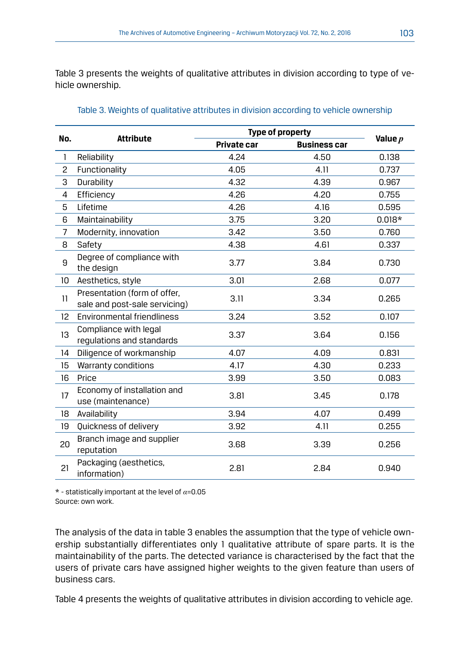Table 3 presents the weights of qualitative attributes in division according to type of vehicle ownership.

|                 |                                                               |             | <b>Type of property</b> |           |
|-----------------|---------------------------------------------------------------|-------------|-------------------------|-----------|
| No.             | <b>Attribute</b>                                              | Private car | <b>Business car</b>     | Value $p$ |
| $\mathbf{1}$    | Reliability                                                   | 4.24        | 4.50                    | 0.138     |
| $\overline{c}$  | Functionality                                                 | 4.05        | 4.11                    | 0.737     |
| 3               | Durability                                                    | 4.32        | 4.39                    | 0.967     |
| 4               | Efficiency                                                    | 4.26        | 4.20                    | 0.755     |
| 5               | Lifetime                                                      | 4.26        | 4.16                    | 0.595     |
| 6               | Maintainability                                               | 3.75        | 3.20                    | $0.018*$  |
| 7               | Modernity, innovation                                         | 3.42        | 3.50                    | 0.760     |
| 8               | Safety                                                        | 4.38        | 4.61                    | 0.337     |
| 9               | Degree of compliance with<br>the design                       | 3.77        | 3.84                    | 0.730     |
| 10              | Aesthetics, style                                             | 3.01        | 2.68                    | 0.077     |
| 11              | Presentation (form of offer,<br>sale and post-sale servicing) | 3.11        | 3.34                    | 0.265     |
| 12 <sup>°</sup> | Environmental friendliness                                    | 3.24        | 3.52                    | 0.107     |
| 13              | Compliance with legal<br>regulations and standards            | 3.37        | 3.64                    |           |
| 14              | Diligence of workmanship                                      | 4.07        | 4.09                    | 0.831     |
| 15              | Warranty conditions                                           | 4.17        | 4.30                    | 0.233     |
| 16              | Price                                                         | 3.99        | 3.50                    | 0.083     |
| 17              | Economy of installation and<br>use (maintenance)              | 3.81        | 3.45                    | 0.178     |
| 18              | Availability                                                  | 3.94        | 4.07                    | 0.499     |
| 19              | Quickness of delivery                                         | 3.92        | 4.11                    | 0.255     |
| 20              | Branch image and supplier<br>reputation                       | 3.68        | 3.39                    | 0.256     |
| 21              | Packaging (aesthetics,<br>information)                        | 2.81        | 2.84                    | 0.940     |

#### Table 3. Weights of qualitative attributes in division according to vehicle ownership

\* - statistically important at the level of *α*=0.05 Source: own work.

The analysis of the data in table 3 enables the assumption that the type of vehicle ownership substantially differentiates only 1 qualitative attribute of spare parts. It is the maintainability of the parts. The detected variance is characterised by the fact that the users of private cars have assigned higher weights to the given feature than users of business cars.

Table 4 presents the weights of qualitative attributes in division according to vehicle age.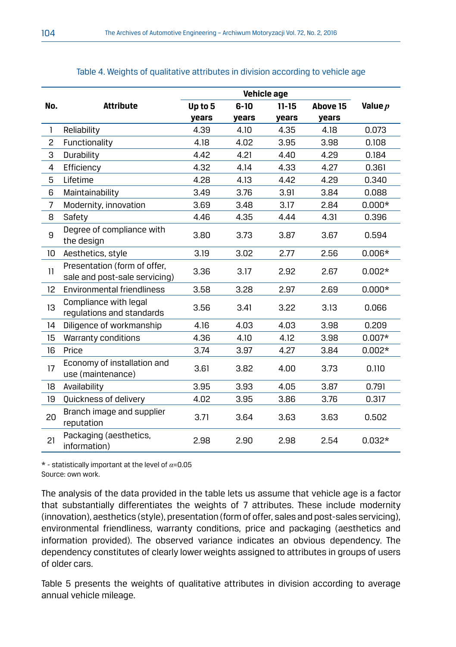|                |                                                               |         |          | Vehicle age |          |           |
|----------------|---------------------------------------------------------------|---------|----------|-------------|----------|-----------|
| No.            | <b>Attribute</b>                                              | Up to 5 | $6 - 10$ | $11 - 15$   | Above 15 | Value $p$ |
|                |                                                               | years   | years    | years       | years    |           |
| $\mathbf{1}$   | Reliability                                                   | 4.39    | 4.10     | 4.35        | 4.18     | 0.073     |
| $\overline{c}$ | Functionality                                                 | 4.18    | 4.02     | 3.95        | 3.98     | 0.108     |
| 3              | Durability                                                    | 4.42    | 4.21     | 4.40        | 4.29     | 0.184     |
| 4              | Efficiency                                                    | 4.32    | 4.14     | 4.33        | 4.27     | 0.361     |
| 5              | Lifetime                                                      | 4.28    | 4.13     | 4.42        | 4.29     | 0.340     |
| 6              | Maintainability                                               | 3.49    | 3.76     | 3.91        | 3.84     | 0.088     |
| $\overline{7}$ | Modernity, innovation                                         | 3.69    | 3.48     | 3.17        | 2.84     | $0.000*$  |
| 8              | Safety                                                        | 4.46    | 4.35     | 4.44        | 4.31     | 0.396     |
| 9              | Degree of compliance with<br>the design                       | 3.80    | 3.73     | 3.87        | 3.67     | 0.594     |
| 10             | Aesthetics, style                                             | 3.19    | 3.02     | 2.77        | 2.56     | $0.006*$  |
| 11             | Presentation (form of offer,<br>sale and post-sale servicing) | 3.36    | 3.17     | 2.92        | 2.67     | $0.002*$  |
| 12             | Environmental friendliness                                    | 3.58    | 3.28     | 2.97        | 2.69     | $0.000*$  |
| 13             | Compliance with legal<br>regulations and standards            | 3.56    | 3.41     | 3.22        | 3.13     | 0.066     |
| 14             | Diligence of workmanship                                      | 4.16    | 4.03     | 4.03        | 3.98     | 0.209     |
| 15             | Warranty conditions                                           | 4.36    | 4.10     | 4.12        | 3.98     | $0.007*$  |
| 16             | Price                                                         | 3.74    | 3.97     | 4.27        | 3.84     | $0.002*$  |
| 17             | Economy of installation and<br>use (maintenance)              | 3.61    | 3.82     | 4.00        | 3.73     | 0.110     |
| 18             | Availability                                                  | 3.95    | 3.93     | 4.05        | 3.87     | 0.791     |
| 19             | Quickness of delivery                                         | 4.02    | 3.95     | 3.86        | 3.76     | 0.317     |
| 20             | Branch image and supplier<br>reputation                       | 3.71    | 3.64     | 3.63        | 3.63     | 0.502     |
| 21             | Packaging (aesthetics,<br>information)                        | 2.98    | 2.90     | 2.98        | 2.54     | $0.032*$  |

#### Table 4. Weights of qualitative attributes in division according to vehicle age

\* - statistically important at the level of *α*=0.05 Source: own work.

The analysis of the data provided in the table lets us assume that vehicle age is a factor that substantially differentiates the weights of 7 attributes. These include modernity (innovation), aesthetics (style), presentation (form of offer, sales and post-sales servicing), environmental friendliness, warranty conditions, price and packaging (aesthetics and information provided). The observed variance indicates an obvious dependency. The dependency constitutes of clearly lower weights assigned to attributes in groups of users of older cars.

Table 5 presents the weights of qualitative attributes in division according to average annual vehicle mileage.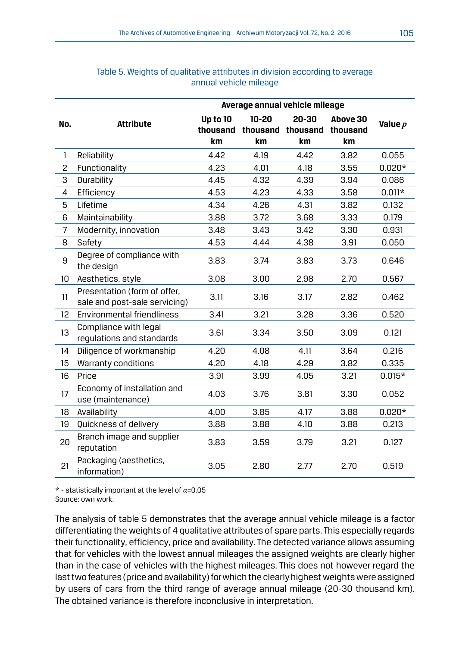|              |                                                               |                            | Average annual vehicle mileage |                                  |                                   |           |
|--------------|---------------------------------------------------------------|----------------------------|--------------------------------|----------------------------------|-----------------------------------|-----------|
| No.          | <b>Attribute</b>                                              | Up to 10<br>thousand<br>km | $10 - 20$<br>km                | 20-30<br>thousand thousand<br>km | Above 30<br>thousand<br><b>km</b> | Value $p$ |
| $\mathbf{1}$ | Reliability                                                   | 4.42                       | 4.19                           | 4.42                             | 3.82                              | 0.055     |
| 2            | Functionality                                                 | 4.23                       | 4.01                           | 4.18                             | 3.55                              | $0.020*$  |
| 3            | Durability                                                    | 4.45                       | 4.32                           | 4.39                             | 3.94                              | 0.086     |
| 4            | Efficiency                                                    | 4.53                       | 4.23                           | 4.33                             | 3.58                              | $0.011*$  |
| 5            | Lifetime                                                      | 4.34                       | 4.26                           | 4.31                             | 3.82                              | 0.132     |
| 6            | Maintainability                                               | 3.88                       | 3.72                           | 3.68                             | 3.33                              | 0.179     |
| 7            | Modernity, innovation                                         | 3.48                       | 3.43                           | 3.42                             | 3.30                              | 0.931     |
| 8            | Safety                                                        | 4.53                       | 4.44                           | 4.38                             | 3.91                              | 0.050     |
| 9            | Degree of compliance with<br>the design                       | 3.83                       | 3.74                           | 3.83                             | 3.73                              | 0.646     |
| 10           | Aesthetics, style                                             | 3.08                       | 3.00                           | 2.98                             | 2.70                              | 0.567     |
| 11           | Presentation (form of offer.<br>sale and post-sale servicing) | 3.11                       | 3.16                           | 3.17                             | 2.82                              | 0.462     |
| 12           | Environmental friendliness                                    | 3.41                       | 3.21                           | 3.28                             | 3.36                              | 0.520     |
| 13           | Compliance with legal<br>regulations and standards            | 3.61                       | 3.34                           | 3.50                             | 3.09                              | 0.121     |
| 14           | Diligence of workmanship                                      | 4.20                       | 4.08                           | 4.11                             | 3.64                              | 0.216     |
| 15           | Warranty conditions                                           | 4.20                       | 4.18                           | 4.29                             | 3.82                              | 0.335     |
| 16           | Price                                                         | 3.91                       | 3.99                           | 4.05                             | 3.21                              | $0.015*$  |
| 17           | Economy of installation and<br>use (maintenance)              | 4.03                       | 3.76                           | 3.81                             | 3.30                              | 0.052     |
| 18           | Availability                                                  | 4.00                       | 3.85                           | 4.17                             | 3.88                              | $0.020*$  |
| 19           | Quickness of delivery                                         | 3.88                       | 3.88                           | 4.10                             | 3.88                              | 0.213     |
| 20           | Branch image and supplier<br>reputation                       | 3.83                       | 3.59                           | 3.79                             | 3.21                              | 0.127     |
| 21           | Packaging (aesthetics,<br>information)                        | 3.05                       | 2.80                           | 2.77                             | 2.70                              | 0.519     |

#### Table 5. Weights of qualitative attributes in division according to average annual vehicle mileage

\* - statistically important at the level of *α*=0.05 Source: own work.

The analysis of table 5 demonstrates that the average annual vehicle mileage is a factor differentiating the weights of 4 qualitative attributes of spare parts. This especially regards their functionality, efficiency, price and availability. The detected variance allows assuming that for vehicles with the lowest annual mileages the assigned weights are clearly higher than in the case of vehicles with the highest mileages. This does not however regard the last two features (price and availability) for which the clearly highest weights were assigned by users of cars from the third range of average annual mileage (20-30 thousand km). The obtained variance is therefore inconclusive in interpretation.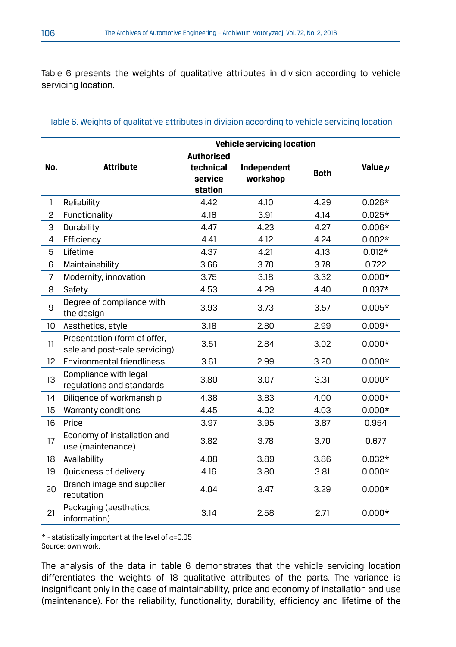Table 6 presents the weights of qualitative attributes in division according to vehicle servicing location.

|                | <b>Vehicle servicing location</b>                             |                                                      |                         |             |           |  |
|----------------|---------------------------------------------------------------|------------------------------------------------------|-------------------------|-------------|-----------|--|
| No.            | <b>Attribute</b>                                              | <b>Authorised</b><br>technical<br>service<br>station | Independent<br>workshop | <b>Both</b> | Value $p$ |  |
| $\mathbf{1}$   | Reliability                                                   | 4.42                                                 | 4.10                    | 4.29        | $0.026*$  |  |
| $\overline{c}$ | Functionality                                                 | 4.16                                                 | 3.91                    | 4.14        | $0.025*$  |  |
| 3              | Durability                                                    | 4.47                                                 | 4.23                    | 4.27        | $0.006*$  |  |
| 4              | Efficiency                                                    | 4.41                                                 | 4.12                    | 4.24        | $0.002*$  |  |
| 5              | Lifetime                                                      | 4.37                                                 | 4.21                    | 4.13        | $0.012*$  |  |
| 6              | Maintainability                                               | 3.66                                                 | 3.70                    | 3.78        | 0.722     |  |
| $\overline{7}$ | Modernity, innovation                                         | 3.75                                                 | 3.18                    | 3.32        | $0.000*$  |  |
| 8              | Safety                                                        | 4.53                                                 | 4.29                    | 4.40        | $0.037*$  |  |
| 9              | Degree of compliance with<br>the design                       | 3.93                                                 | 3.73                    | 3.57        | $0.005*$  |  |
| 10             | Aesthetics, style                                             | 3.18                                                 | 2.80                    | 2.99        | $0.009*$  |  |
| 11             | Presentation (form of offer,<br>sale and post-sale servicing) | 3.51                                                 | 2.84                    | 3.02        | $0.000*$  |  |
| 12             | Environmental friendliness                                    | 3.61                                                 | 2.99                    | 3.20        | $0.000*$  |  |
| 13             | Compliance with legal<br>regulations and standards            | 3.80                                                 | 3.07                    | 3.31        | $0.000*$  |  |
| 14             | Diligence of workmanship                                      | 4.38                                                 | 3.83                    | 4.00        | $0.000*$  |  |
| 15             | Warranty conditions                                           | 4.45                                                 | 4.02                    | 4.03        | $0.000*$  |  |
| 16             | Price                                                         | 3.97                                                 | 3.95                    | 3.87        | 0.954     |  |
| 17             | Economy of installation and<br>use (maintenance)              | 3.82                                                 | 3.78                    | 3.70        | 0.677     |  |
| 18             | Availability                                                  | 4.08                                                 | 3.89                    | 3.86        | $0.032*$  |  |
| 19             | Quickness of delivery                                         | 4.16                                                 | 3.80                    | 3.81        | $0.000*$  |  |
| 20             | Branch image and supplier<br>reputation                       | 4.04                                                 | 3.47                    | 3.29        | $0.000*$  |  |
| 21             | Packaging (aesthetics,<br>information)                        | 3.14                                                 | 2.58                    | 2.71        | $0.000*$  |  |

#### Table 6. Weights of qualitative attributes in division according to vehicle servicing location

\* - statistically important at the level of *α*=0.05 Source: own work.

The analysis of the data in table 6 demonstrates that the vehicle servicing location differentiates the weights of 18 qualitative attributes of the parts. The variance is insignificant only in the case of maintainability, price and economy of installation and use (maintenance). For the reliability, functionality, durability, efficiency and lifetime of the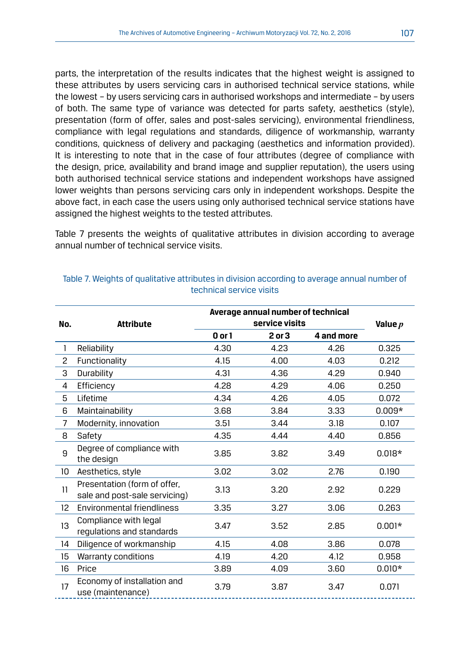parts, the interpretation of the results indicates that the highest weight is assigned to these attributes by users servicing cars in authorised technical service stations, while the lowest – by users servicing cars in authorised workshops and intermediate – by users of both. The same type of variance was detected for parts safety, aesthetics (style), presentation (form of offer, sales and post-sales servicing), environmental friendliness, compliance with legal regulations and standards, diligence of workmanship, warranty conditions, quickness of delivery and packaging (aesthetics and information provided). It is interesting to note that in the case of four attributes (degree of compliance with the design, price, availability and brand image and supplier reputation), the users using both authorised technical service stations and independent workshops have assigned lower weights than persons servicing cars only in independent workshops. Despite the above fact, in each case the users using only authorised technical service stations have assigned the highest weights to the tested attributes.

Table 7 presents the weights of qualitative attributes in division according to average annual number of technical service visits.

|                 | Average annual number of technical                            |            |                |            |           |  |  |
|-----------------|---------------------------------------------------------------|------------|----------------|------------|-----------|--|--|
| No.             | <b>Attribute</b>                                              |            | service visits |            | Value $p$ |  |  |
|                 |                                                               | $0$ or $1$ | $2$ or $3$     | 4 and more |           |  |  |
| 1               | Reliability                                                   | 4.30       | 4.23           | 4.26       | 0.325     |  |  |
| 2               | Functionality                                                 | 4.15       | 4.00           | 4.03       | 0.212     |  |  |
| 3               | Durability                                                    | 4.31       | 4.36           | 4.29       | 0.940     |  |  |
| 4               | Efficiency                                                    | 4.28       | 4.29           | 4.06       | 0.250     |  |  |
| 5               | Lifetime                                                      | 4.34       | 4.26           | 4.05       | 0.072     |  |  |
| 6               | Maintainability                                               | 3.68       | 3.84           | 3.33       | $0.009*$  |  |  |
| 7               | Modernity, innovation                                         | 3.51       | 3.44           | 3.18       | 0.107     |  |  |
| 8               | Safety                                                        | 4.35       | 4.44           | 4.40       | 0.856     |  |  |
| 9               | Degree of compliance with<br>the design                       | 3.85       | 3.82           | 3.49       | $0.018*$  |  |  |
| 10              | Aesthetics, style                                             | 3.02       | 3.02           | 2.76       | 0.190     |  |  |
| 11              | Presentation (form of offer,<br>sale and post-sale servicing) | 3.13       | 3.20           | 2.92       | 0.229     |  |  |
| 12 <sup>2</sup> | Environmental friendliness                                    | 3.35       | 3.27           | 3.06       | 0.263     |  |  |
| 13              | Compliance with legal<br>regulations and standards            | 3.47       | 3.52           | 2.85       | $0.001*$  |  |  |
| 14              | Diligence of workmanship                                      | 4.15       | 4.08           | 3.86       | 0.078     |  |  |
| 15              | Warranty conditions                                           | 4.19       | 4.20           | 4.12       | 0.958     |  |  |
| 16              | Price                                                         | 3.89       | 4.09           | 3.60       | $0.010*$  |  |  |
| 17              | Economy of installation and<br>use (maintenance)              | 3.79       | 3.87           | 3.47       | 0.071     |  |  |

#### Table 7. Weights of qualitative attributes in division according to average annual number of technical service visits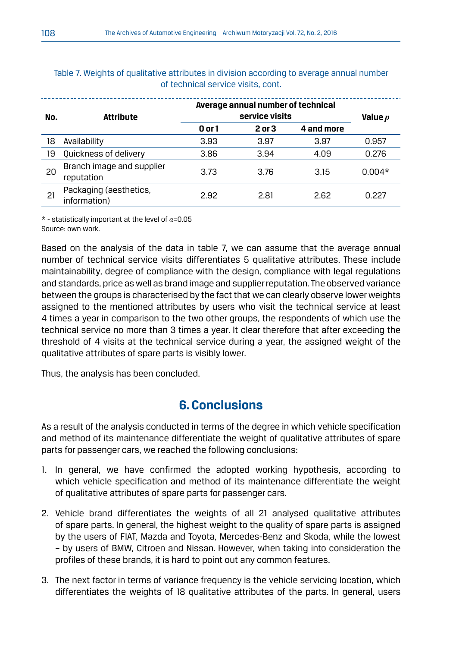| No. | Attribute                               |        | Average annual number of technical<br>service visits |            |          |  |  |  |  |
|-----|-----------------------------------------|--------|------------------------------------------------------|------------|----------|--|--|--|--|
|     |                                         | 0 or 1 | 2 or 3                                               | 4 and more |          |  |  |  |  |
| 18  | Availability                            | 3.93   | 3.97                                                 | 3.97       | 0.957    |  |  |  |  |
| 19  | Quickness of delivery                   | 3.86   | 3.94                                                 | 4.09       | 0.276    |  |  |  |  |
| 20  | Branch image and supplier<br>reputation | 3.73   | 3.76                                                 | 3.15       | $0.004*$ |  |  |  |  |
| 21  | Packaging (aesthetics,<br>information)  | 2.92   | 2.81                                                 | 2.62       | 0.227    |  |  |  |  |

Table 7. Weights of qualitative attributes in division according to average annual number of technical service visits, cont.

\* - statistically important at the level of *α*=0.05 Source: own work.

Based on the analysis of the data in table 7, we can assume that the average annual number of technical service visits differentiates 5 qualitative attributes. These include maintainability, degree of compliance with the design, compliance with legal regulations and standards, price as well as brand image and supplier reputation. The observed variance between the groups is characterised by the fact that we can clearly observe lower weights assigned to the mentioned attributes by users who visit the technical service at least 4 times a year in comparison to the two other groups, the respondents of which use the technical service no more than 3 times a year. It clear therefore that after exceeding the threshold of 4 visits at the technical service during a year, the assigned weight of the qualitative attributes of spare parts is visibly lower.

Thus, the analysis has been concluded.

## **6. Conclusions**

As a result of the analysis conducted in terms of the degree in which vehicle specification and method of its maintenance differentiate the weight of qualitative attributes of spare parts for passenger cars, we reached the following conclusions:

- 1. In general, we have confirmed the adopted working hypothesis, according to which vehicle specification and method of its maintenance differentiate the weight of qualitative attributes of spare parts for passenger cars.
- 2. Vehicle brand differentiates the weights of all 21 analysed qualitative attributes of spare parts. In general, the highest weight to the quality of spare parts is assigned by the users of FIAT, Mazda and Toyota, Mercedes-Benz and Skoda, while the lowest – by users of BMW, Citroen and Nissan. However, when taking into consideration the profiles of these brands, it is hard to point out any common features.
- 3. The next factor in terms of variance frequency is the vehicle servicing location, which differentiates the weights of 18 qualitative attributes of the parts. In general, users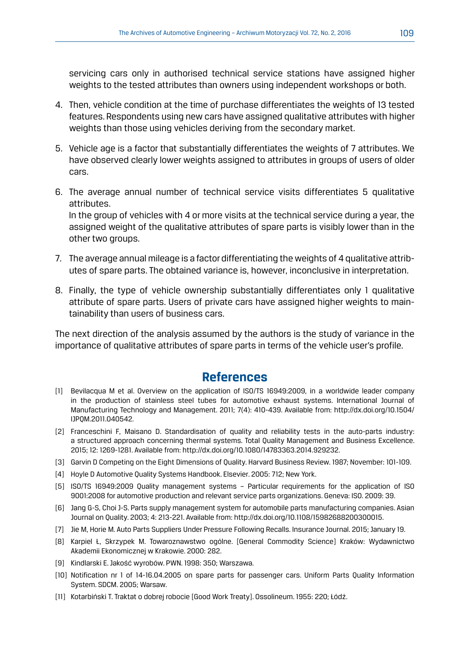servicing cars only in authorised technical service stations have assigned higher weights to the tested attributes than owners using independent workshops or both.

- 4. Then, vehicle condition at the time of purchase differentiates the weights of 13 tested features. Respondents using new cars have assigned qualitative attributes with higher weights than those using vehicles deriving from the secondary market.
- 5. Vehicle age is a factor that substantially differentiates the weights of 7 attributes. We have observed clearly lower weights assigned to attributes in groups of users of older cars.
- 6. The average annual number of technical service visits differentiates 5 qualitative attributes.

 In the group of vehicles with 4 or more visits at the technical service during a year, the assigned weight of the qualitative attributes of spare parts is visibly lower than in the other two groups.

- 7. The average annual mileage is a factor differentiating the weights of 4 qualitative attributes of spare parts. The obtained variance is, however, inconclusive in interpretation.
- 8. Finally, the type of vehicle ownership substantially differentiates only 1 qualitative attribute of spare parts. Users of private cars have assigned higher weights to maintainability than users of business cars.

The next direction of the analysis assumed by the authors is the study of variance in the importance of qualitative attributes of spare parts in terms of the vehicle user's profile.

## **References**

- [1] Bevilacqua M et al. Overview on the application of ISO/TS 16949:2009, in a worldwide leader company in the production of stainless steel tubes for automotive exhaust systems. International Journal of Manufacturing Technology and Management. 2011; 7(4): 410-439. Available from: http://dx.doi.org/10.1504/ IJPQM.2011.040542.
- [2] Franceschini F, Maisano D. Standardisation of quality and reliability tests in the auto-parts industry: a structured approach concerning thermal systems. Total Quality Management and Business Excellence. 2015; 12: 1269-1281. Available from: http://dx.doi.org/10.1080/14783363.2014.929232.
- [3] Garvin D Competing on the Eight Dimensions of Quality. Harvard Business Review. 1987; November: 101-109.
- [4] Hoyle D Automotive Quality Systems Handbook. Elsevier. 2005: 712; New York.
- [5] ISO/TS 16949:2009 Quality management systems Particular requirements for the application of ISO 9001:2008 for automotive production and relevant service parts organizations. Geneva: ISO. 2009: 39.
- [6] Jang G-S, Choi J-S. Parts supply management system for automobile parts manufacturing companies. Asian Journal on Quality. 2003; 4: 213-221. Available from: http://dx.doi.org/10.1108/15982688200300015.
- [7] Jie M, Horie M. Auto Parts Suppliers Under Pressure Following Recalls. Insurance Journal. 2015; January 19.
- [8] Karpiel Ł, Skrzypek M. Towaroznawstwo ogólne. [General Commodity Science] Kraków: Wydawnictwo Akademii Ekonomicznej w Krakowie. 2000: 282.
- [9] Kindlarski E. Jakość wyrobów. PWN. 1998: 350; Warszawa.
- [10] Notification nr 1 of 14-16.04.2005 on spare parts for passenger cars. Uniform Parts Quality Information System. SDCM. 2005; Warsaw.
- [11] Kotarbiński T. Traktat o dobrej robocie [Good Work Treaty]. Ossolineum. 1955: 220; Łódź.